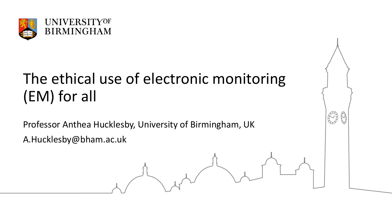

# The ethical use of electronic monitoring (EM) for all

Professor Anthea Hucklesby, University of Birmingham, UK A.Hucklesby@bham.ac.uk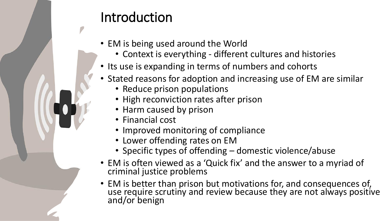### Introduction

- EM is being used around the World
	- Context is everything different cultures and histories
- Its use is expanding in terms of numbers and cohorts
- Stated reasons for adoption and increasing use of EM are similar
	- Reduce prison populations
	- High reconviction rates after prison
	- Harm caused by prison
	- Financial cost
	- Improved monitoring of compliance
	- Lower offending rates on EM
	- Specific types of offending domestic violence/abuse
- EM is often viewed as a 'Quick fix' and the answer to a myriad of criminal justice problems
- EM is better than prison but motivations for, and consequences of, use require scrutiny and review because they are not always positive and/or benign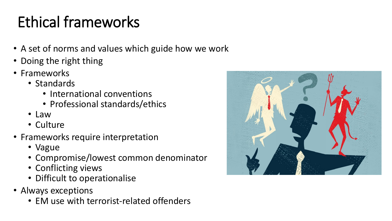# Ethical frameworks

- A set of norms and values which guide how we work
- Doing the right thing
- Frameworks
	- Standards
		- International conventions
		- Professional standards/ethics
	- Law
	- Culture
- Frameworks require interpretation
	- Vague
	- Compromise/lowest common denominator
	- Conflicting views
	- Difficult to operationalise
- Always exceptions
	- EM use with terrorist-related offenders

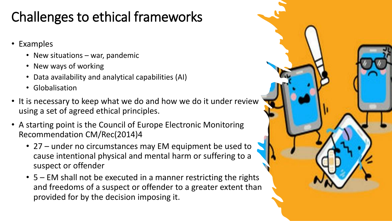### Challenges to ethical frameworks

- Examples
	- New situations war, pandemic
	- New ways of working
	- Data availability and analytical capabilities (AI)
	- Globalisation
- It is necessary to keep what we do and how we do it under review using a set of agreed ethical principles.
- A starting point is the Council of Europe Electronic Monitoring Recommendation CM/Rec(2014)4
	- 27 under no circumstances may EM equipment be used to cause intentional physical and mental harm or suffering to a suspect or offender
	- 5 EM shall not be executed in a manner restricting the rights and freedoms of a suspect or offender to a greater extent than provided for by the decision imposing it.

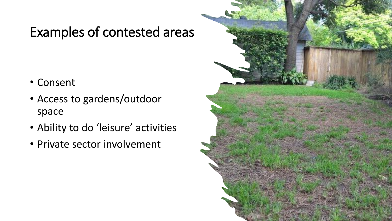### Examples of contested areas

- Consent
- Access to gardens/outdoor space
- Ability to do 'leisure' activities
- Private sector involvement

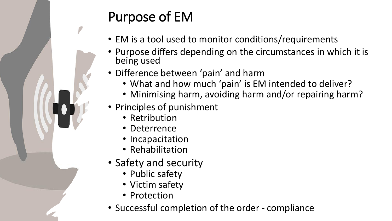## Purpose of EM

- EM is a tool used to monitor conditions/requirements
- Purpose differs depending on the circumstances in which it is being used
- Difference between 'pain' and harm
	- What and how much 'pain' is EM intended to deliver?
	- Minimising harm, avoiding harm and/or repairing harm?
- Principles of punishment
	- Retribution
	- Deterrence
	- Incapacitation
	- Rehabilitation
- Safety and security
	- Public safety
	- Victim safety
	- Protection
- Successful completion of the order compliance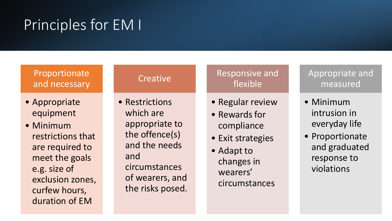# Principles for EM I

#### Proportionate and necessary

- Appropriate equipment
- Minimum restrictions that are required to meet the goals e.g. size of exclusion zones, curfew hours, duration of EM

#### • Restrictions which are appropriate to the offence(s) and the needs and circumstances of wearers, and the risks posed.

**Creative** 

#### Responsive and flexible

- Regular review
- Rewards for compliance
- Exit strategies
- Adapt to changes in wearers' circumstances

Appropriate and measured

- Minimum intrusion in everyday life
- Proportionate and graduated response to violations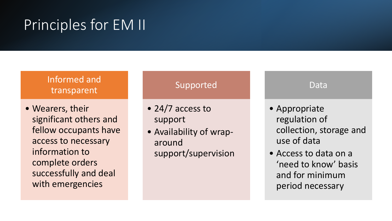## Principles for EM II

#### Informed and transparent

• Wearers, their significant others and fellow occupants have access to necessary information to complete orders successfully and deal with emergencies

#### Supported

- 24/7 access to support
- Availability of wraparound support/supervision

#### Data

- Appropriate regulation of collection, storage and use of data
- Access to data on a 'need to know' basis and for minimum period necessary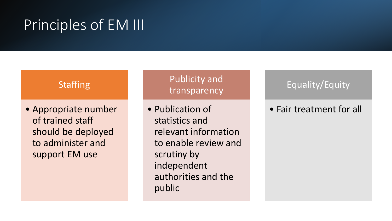## Principles of EM III

#### **Staffing**

• Appropriate number of trained staff should be deployed to administer and support EM use

#### Publicity and transparency

• Publication of statistics and relevant information to enable review and scrutiny by independent authorities and the public

#### Equality/Equity

#### • Fair treatment for all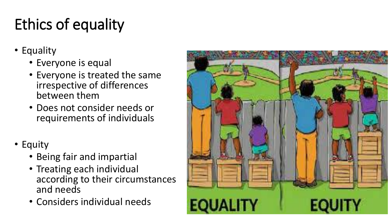# Ethics of equality

- Equality
	- Everyone is equal
	- Everyone is treated the same irrespective of differences between them
	- Does not consider needs or requirements of individuals
- Equity
	- Being fair and impartial
	- Treating each individual according to their circumstances and needs
	- Considers individual needs

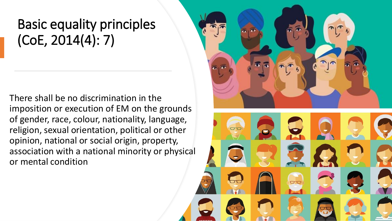### Basic equality principles (CoE, 2014(4): 7)

There shall be no discrimination in the imposition or execution of EM on the grounds of gender, race, colour, nationality, language, religion, sexual orientation, political or other opinion, national or social origin, property, association with a national minority or physical or mental condition

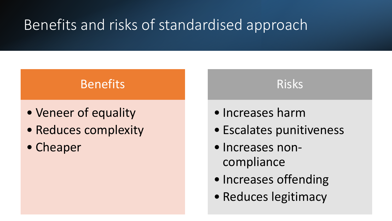## Benefits and risks of standardised approach

### Benefits

- Veneer of equality
- Reduces complexity
- Cheaper

• Increases harm

• Escalates punitiveness

Risks

- Increases noncompliance
- Increases offending
- Reduces legitimacy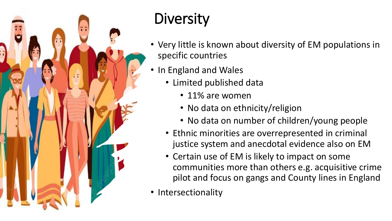

# **Diversity**

- Very little is known about diversity of EM populations in specific countries
- In England and Wales
	- Limited published data
		- 11% are women
		- No data on ethnicity/religion
		- No data on number of children/young people
	- Ethnic minorities are overrepresented in criminal justice system and anecdotal evidence also on EM
	- Certain use of EM is likely to impact on some communities more than others e.g. acquisitive crime pilot and focus on gangs and County lines in England
- Intersectionality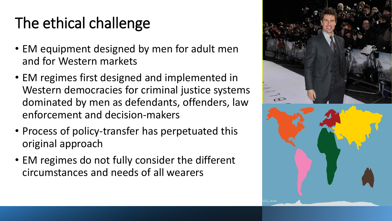# The ethical challenge

- EM equipment designed by men for adult men and for Western markets
- EM regimes first designed and implemented in Western democracies for criminal justice systems dominated by men as defendants, offenders, law enforcement and decision-makers
- Process of policy-transfer has perpetuated this original approach
- EM regimes do not fully consider the different circumstances and needs of all wearers

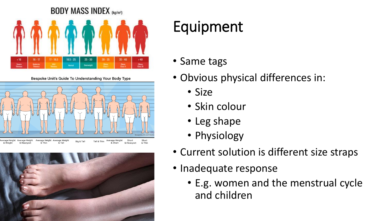

Bespoke Unit's Guide To Understanding Your Body Type





# Equipment

- Same tags
- Obvious physical differences in:
	- Size
	- Skin colour
	- Leg shape
	- Physiology
- Current solution is different size straps
- Inadequate response
	- E.g. women and the menstrual cycle and children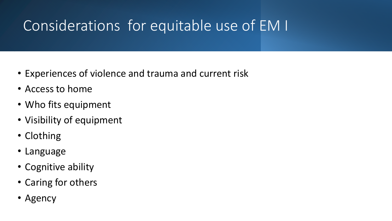## Considerations for equitable use of EM I

- Experiences of violence and trauma and current risk
- Access to home
- Who fits equipment
- Visibility of equipment
- Clothing
- Language
- Cognitive ability
- Caring for others
- Agency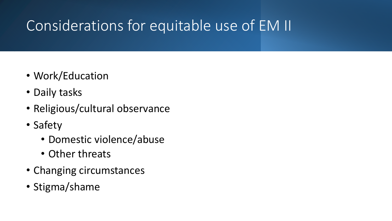# Considerations for equitable use of EM II

- Work/Education
- Daily tasks
- Religious/cultural observance
- Safety
	- Domestic violence/abuse
	- Other threats
- Changing circumstances
- Stigma/shame